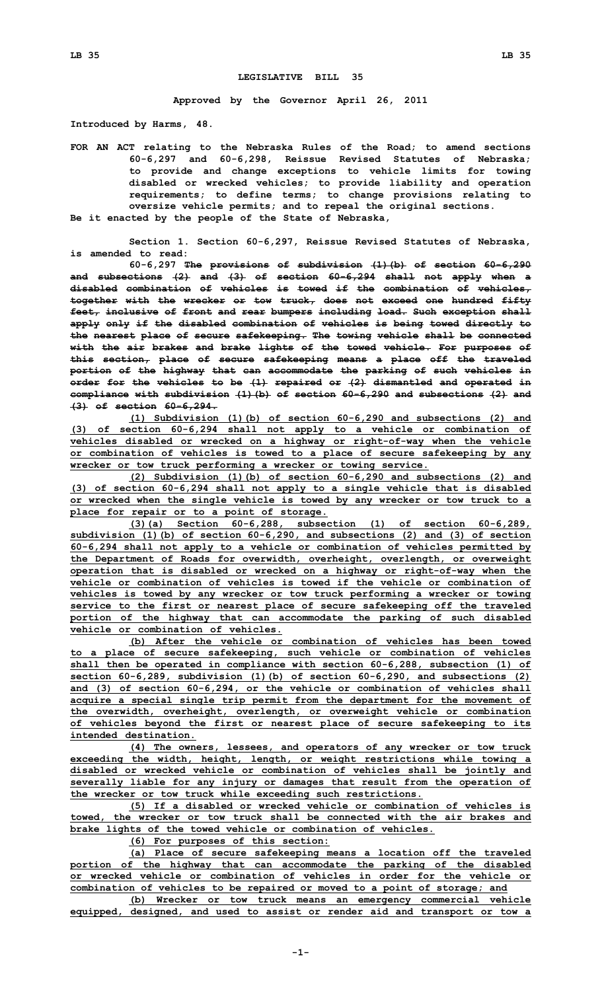## **LEGISLATIVE BILL 35**

**Approved by the Governor April 26, 2011**

**Introduced by Harms, 48.**

**FOR AN ACT relating to the Nebraska Rules of the Road; to amend sections 60-6,297 and 60-6,298, Reissue Revised Statutes of Nebraska; to provide and change exceptions to vehicle limits for towing disabled or wrecked vehicles; to provide liability and operation requirements; to define terms; to change provisions relating to oversize vehicle permits; and to repeal the original sections. Be it enacted by the people of the State of Nebraska,**

**Section 1. Section 60-6,297, Reissue Revised Statutes of Nebraska, is amended to read:**

**60-6,297 The provisions of subdivision (1)(b) of section 60-6,290 and subsections (2) and (3) of section 60-6,294 shall not apply when <sup>a</sup> disabled combination of vehicles is towed if the combination of vehicles, together with the wrecker or tow truck, does not exceed one hundred fifty feet, inclusive of front and rear bumpers including load. Such exception shall apply only if the disabled combination of vehicles is being towed directly to the nearest place of secure safekeeping. The towing vehicle shall be connected with the air brakes and brake lights of the towed vehicle. For purposes of this section, place of secure safekeeping means <sup>a</sup> place off the traveled portion of the highway that can accommodate the parking of such vehicles in order for the vehicles to be (1) repaired or (2) dismantled and operated in compliance with subdivision (1)(b) of section 60-6,290 and subsections (2) and (3) of section 60-6,294.**

**(1) Subdivision (1)(b) of section 60-6,290 and subsections (2) and (3) of section 60-6,294 shall not apply to <sup>a</sup> vehicle or combination of vehicles disabled or wrecked on <sup>a</sup> highway or right-of-way when the vehicle or combination of vehicles is towed to <sup>a</sup> place of secure safekeeping by any wrecker or tow truck performing <sup>a</sup> wrecker or towing service.**

**(2) Subdivision (1)(b) of section 60-6,290 and subsections (2) and (3) of section 60-6,294 shall not apply to <sup>a</sup> single vehicle that is disabled or wrecked when the single vehicle is towed by any wrecker or tow truck to <sup>a</sup> place for repair or to <sup>a</sup> point of storage.**

**(3)(a) Section 60-6,288, subsection (1) of section 60-6,289, subdivision (1)(b) of section 60-6,290, and subsections (2) and (3) of section 60-6,294 shall not apply to <sup>a</sup> vehicle or combination of vehicles permitted by the Department of Roads for overwidth, overheight, overlength, or overweight operation that is disabled or wrecked on <sup>a</sup> highway or right-of-way when the vehicle or combination of vehicles is towed if the vehicle or combination of vehicles is towed by any wrecker or tow truck performing <sup>a</sup> wrecker or towing service to the first or nearest place of secure safekeeping off the traveled portion of the highway that can accommodate the parking of such disabled vehicle or combination of vehicles.**

**(b) After the vehicle or combination of vehicles has been towed to <sup>a</sup> place of secure safekeeping, such vehicle or combination of vehicles shall then be operated in compliance with section 60-6,288, subsection (1) of section 60-6,289, subdivision (1)(b) of section 60-6,290, and subsections (2) and (3) of section 60-6,294, or the vehicle or combination of vehicles shall acquire <sup>a</sup> special single trip permit from the department for the movement of the overwidth, overheight, overlength, or overweight vehicle or combination of vehicles beyond the first or nearest place of secure safekeeping to its intended destination.**

**(4) The owners, lessees, and operators of any wrecker or tow truck exceeding the width, height, length, or weight restrictions while towing <sup>a</sup> disabled or wrecked vehicle or combination of vehicles shall be jointly and severally liable for any injury or damages that result from the operation of the wrecker or tow truck while exceeding such restrictions.**

**(5) If <sup>a</sup> disabled or wrecked vehicle or combination of vehicles is towed, the wrecker or tow truck shall be connected with the air brakes and brake lights of the towed vehicle or combination of vehicles.**

**(6) For purposes of this section:**

**(a) Place of secure safekeeping means <sup>a</sup> location off the traveled portion of the highway that can accommodate the parking of the disabled or wrecked vehicle or combination of vehicles in order for the vehicle or combination of vehicles to be repaired or moved to <sup>a</sup> point of storage; and**

**(b) Wrecker or tow truck means an emergency commercial vehicle equipped, designed, and used to assist or render aid and transport or tow <sup>a</sup>**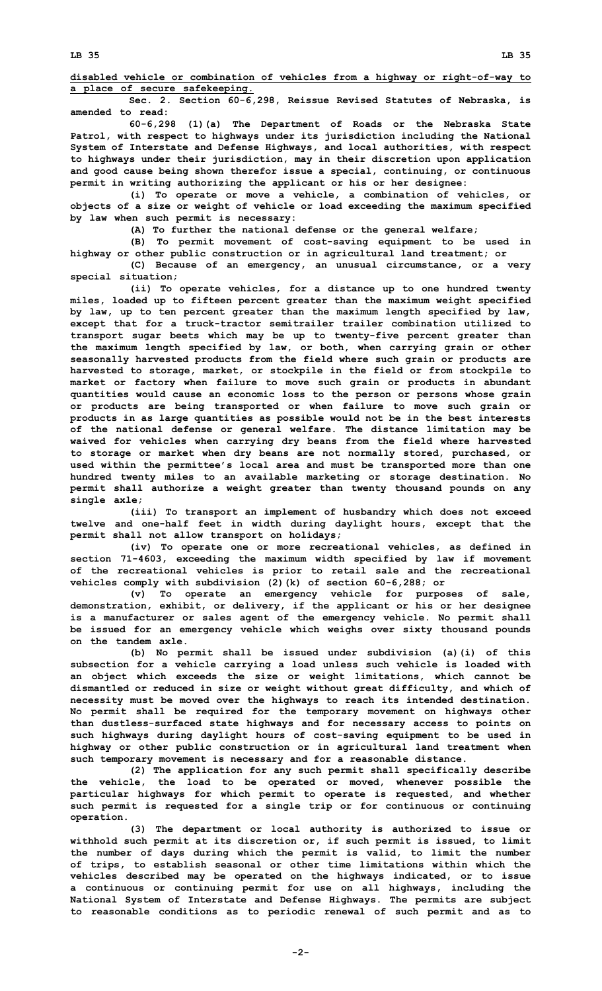**disabled vehicle or combination of vehicles from <sup>a</sup> highway or right-of-way to <sup>a</sup> place of secure safekeeping.**

**Sec. 2. Section 60-6,298, Reissue Revised Statutes of Nebraska, is amended to read:**

**60-6,298 (1)(a) The Department of Roads or the Nebraska State Patrol, with respect to highways under its jurisdiction including the National System of Interstate and Defense Highways, and local authorities, with respect to highways under their jurisdiction, may in their discretion upon application and good cause being shown therefor issue <sup>a</sup> special, continuing, or continuous permit in writing authorizing the applicant or his or her designee:**

**(i) To operate or move <sup>a</sup> vehicle, <sup>a</sup> combination of vehicles, or objects of <sup>a</sup> size or weight of vehicle or load exceeding the maximum specified by law when such permit is necessary:**

**(A) To further the national defense or the general welfare;**

**(B) To permit movement of cost-saving equipment to be used in highway or other public construction or in agricultural land treatment; or**

**(C) Because of an emergency, an unusual circumstance, or <sup>a</sup> very special situation;**

**(ii) To operate vehicles, for <sup>a</sup> distance up to one hundred twenty miles, loaded up to fifteen percent greater than the maximum weight specified by law, up to ten percent greater than the maximum length specified by law, except that for <sup>a</sup> truck-tractor semitrailer trailer combination utilized to transport sugar beets which may be up to twenty-five percent greater than the maximum length specified by law, or both, when carrying grain or other seasonally harvested products from the field where such grain or products are harvested to storage, market, or stockpile in the field or from stockpile to market or factory when failure to move such grain or products in abundant quantities would cause an economic loss to the person or persons whose grain or products are being transported or when failure to move such grain or products in as large quantities as possible would not be in the best interests of the national defense or general welfare. The distance limitation may be waived for vehicles when carrying dry beans from the field where harvested to storage or market when dry beans are not normally stored, purchased, or used within the permittee's local area and must be transported more than one hundred twenty miles to an available marketing or storage destination. No permit shall authorize <sup>a</sup> weight greater than twenty thousand pounds on any single axle;**

**(iii) To transport an implement of husbandry which does not exceed twelve and one-half feet in width during daylight hours, except that the permit shall not allow transport on holidays;**

**(iv) To operate one or more recreational vehicles, as defined in section 71-4603, exceeding the maximum width specified by law if movement of the recreational vehicles is prior to retail sale and the recreational vehicles comply with subdivision (2)(k) of section 60-6,288; or**

**(v) To operate an emergency vehicle for purposes of sale, demonstration, exhibit, or delivery, if the applicant or his or her designee is <sup>a</sup> manufacturer or sales agent of the emergency vehicle. No permit shall be issued for an emergency vehicle which weighs over sixty thousand pounds on the tandem axle.**

**(b) No permit shall be issued under subdivision (a)(i) of this subsection for <sup>a</sup> vehicle carrying <sup>a</sup> load unless such vehicle is loaded with an object which exceeds the size or weight limitations, which cannot be dismantled or reduced in size or weight without great difficulty, and which of necessity must be moved over the highways to reach its intended destination. No permit shall be required for the temporary movement on highways other than dustless-surfaced state highways and for necessary access to points on such highways during daylight hours of cost-saving equipment to be used in highway or other public construction or in agricultural land treatment when such temporary movement is necessary and for <sup>a</sup> reasonable distance.**

**(2) The application for any such permit shall specifically describe the vehicle, the load to be operated or moved, whenever possible the particular highways for which permit to operate is requested, and whether such permit is requested for <sup>a</sup> single trip or for continuous or continuing operation.**

**(3) The department or local authority is authorized to issue or withhold such permit at its discretion or, if such permit is issued, to limit the number of days during which the permit is valid, to limit the number of trips, to establish seasonal or other time limitations within which the vehicles described may be operated on the highways indicated, or to issue <sup>a</sup> continuous or continuing permit for use on all highways, including the National System of Interstate and Defense Highways. The permits are subject to reasonable conditions as to periodic renewal of such permit and as to**